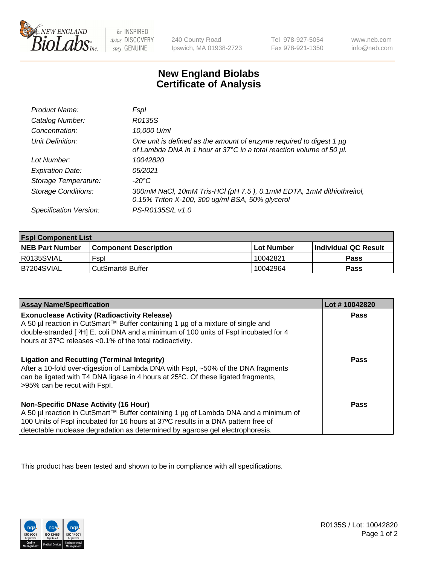

 $be$  INSPIRED drive DISCOVERY stay GENUINE

240 County Road Ipswich, MA 01938-2723 Tel 978-927-5054 Fax 978-921-1350 www.neb.com info@neb.com

## **New England Biolabs Certificate of Analysis**

| Product Name:              | Fspl                                                                                                                                        |
|----------------------------|---------------------------------------------------------------------------------------------------------------------------------------------|
| Catalog Number:            | R0135S                                                                                                                                      |
| Concentration:             | 10,000 U/ml                                                                                                                                 |
| Unit Definition:           | One unit is defined as the amount of enzyme required to digest 1 µg<br>of Lambda DNA in 1 hour at 37°C in a total reaction volume of 50 µl. |
| Lot Number:                | 10042820                                                                                                                                    |
| <b>Expiration Date:</b>    | 05/2021                                                                                                                                     |
| Storage Temperature:       | -20°C                                                                                                                                       |
| <b>Storage Conditions:</b> | 300mM NaCl, 10mM Tris-HCl (pH 7.5), 0.1mM EDTA, 1mM dithiothreitol,<br>0.15% Triton X-100, 300 ug/ml BSA, 50% glycerol                      |
| Specification Version:     | PS-R0135S/L v1.0                                                                                                                            |

| <b>Fspl Component List</b> |                              |              |                             |  |
|----------------------------|------------------------------|--------------|-----------------------------|--|
| <b>NEB Part Number</b>     | <b>Component Description</b> | l Lot Number | <b>Individual QC Result</b> |  |
| I R0135SVIAL               | Fspl                         | 10042821     | <b>Pass</b>                 |  |
| B7204SVIAL                 | l CutSmart® Buffer           | 10042964     | Pass                        |  |

| <b>Assay Name/Specification</b>                                                                                                                                                                                                                                                                           | Lot #10042820 |
|-----------------------------------------------------------------------------------------------------------------------------------------------------------------------------------------------------------------------------------------------------------------------------------------------------------|---------------|
| <b>Exonuclease Activity (Radioactivity Release)</b><br>A 50 µl reaction in CutSmart™ Buffer containing 1 µg of a mixture of single and<br>double-stranded [3H] E. coli DNA and a minimum of 100 units of Fspl incubated for 4<br>hours at 37°C releases <0.1% of the total radioactivity.                 | Pass          |
| <b>Ligation and Recutting (Terminal Integrity)</b><br>After a 10-fold over-digestion of Lambda DNA with Fspl, ~50% of the DNA fragments<br>can be ligated with T4 DNA ligase in 4 hours at 25°C. Of these ligated fragments,<br>>95% can be recut with Fspl.                                              | Pass          |
| <b>Non-Specific DNase Activity (16 Hour)</b><br>A 50 µl reaction in CutSmart™ Buffer containing 1 µg of Lambda DNA and a minimum of<br>100 Units of Fspl incubated for 16 hours at 37°C results in a DNA pattern free of<br>detectable nuclease degradation as determined by agarose gel electrophoresis. | Pass          |

This product has been tested and shown to be in compliance with all specifications.